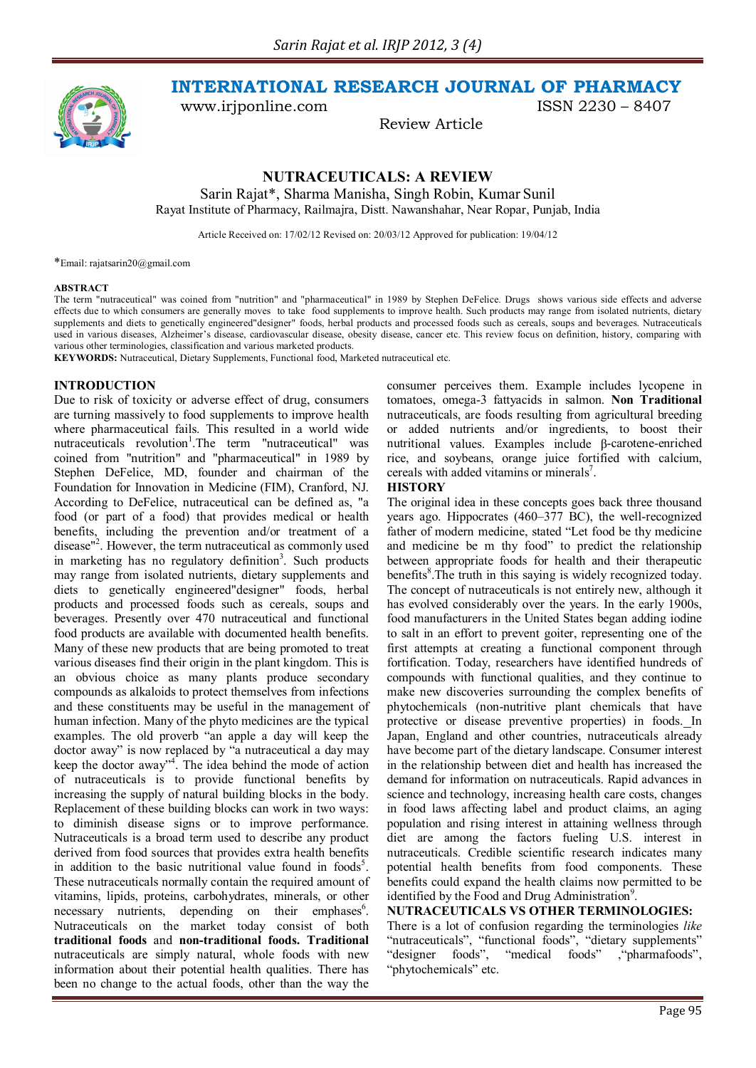

**INTERNATIONAL RESEARCH JOURNAL OF PHARMACY**

Review Article

www.irjponline.com ISSN 2230 – 8407

**NUTRACEUTICALS: A REVIEW**

Sarin Rajat\*, Sharma Manisha, Singh Robin, Kumar Sunil Rayat Institute of Pharmacy, Railmajra, Distt. Nawanshahar, Near Ropar, Punjab, India

Article Received on: 17/02/12 Revised on: 20/03/12 Approved for publication: 19/04/12

\*Email: rajatsarin20@gmail.com

#### **ABSTRACT**

The term "nutraceutical" was coined from "nutrition" and "pharmaceutical" in 1989 by Stephen DeFelice. Drugs shows various side effects and adverse effects due to which consumers are generally moves to take food supplements to improve health. Such products may range from isolated nutrients, dietary supplements and diets to genetically engineered"designer" foods, herbal products and processed foods such as cereals, soups and beverages. Nutraceuticals used in various diseases, Alzheimer's disease, cardiovascular disease, obesity disease, cancer etc. This review focus on definition, history, comparing with various other terminologies, classification and various marketed products.

**KEYWORDS:** Nutraceutical, Dietary Supplements, Functional food, Marketed nutraceutical etc.

## **INTRODUCTION**

Due to risk of toxicity or adverse effect of drug, consumers are turning massively to food supplements to improve health where pharmaceutical fails. This resulted in a world wide nutraceuticals revolution<sup>1</sup>. The term "nutraceutical" was coined from "nutrition" and "pharmaceutical" in 1989 by Stephen DeFelice, MD, founder and chairman of the Foundation for Innovation in Medicine (FIM), Cranford, NJ. According to DeFelice, nutraceutical can be defined as, "a food (or part of a food) that provides medical or health benefits, including the prevention and/or treatment of a disease<sup>"2</sup>. However, the term nutraceutical as commonly used in marketing has no regulatory definition<sup>3</sup>. Such products may range from isolated nutrients, dietary supplements and diets to genetically engineered"designer" foods, herbal products and processed foods such as cereals, soups and beverages. Presently over 470 nutraceutical and functional food products are available with documented health benefits. Many of these new products that are being promoted to treat various diseases find their origin in the plant kingdom. This is an obvious choice as many plants produce secondary compounds as alkaloids to protect themselves from infections and these constituents may be useful in the management of human infection. Many of the phyto medicines are the typical examples. The old proverb "an apple a day will keep the doctor away" is now replaced by "a nutraceutical a day may keep the doctor away"<sup>4</sup>. The idea behind the mode of action of nutraceuticals is to provide functional benefits by increasing the supply of natural building blocks in the body. Replacement of these building blocks can work in two ways: to diminish disease signs or to improve performance. Nutraceuticals is a broad term used to describe any product derived from food sources that provides extra health benefits in addition to the basic nutritional value found in foods<sup>5</sup>. These nutraceuticals normally contain the required amount of vitamins, lipids, proteins, carbohydrates, minerals, or other necessary nutrients, depending on their emphases<sup>6</sup>. Nutraceuticals on the market today consist of both **traditional foods** and **non-traditional foods. Traditional**  nutraceuticals are simply natural, whole foods with new information about their potential health qualities. There has been no change to the actual foods, other than the way the

consumer perceives them. Example includes lycopene in tomatoes, omega-3 fattyacids in salmon. **Non Traditional** nutraceuticals, are foods resulting from agricultural breeding or added nutrients and/or ingredients, to boost their nutritional values. Examples include β-carotene-enriched rice, and soybeans, orange juice fortified with calcium, cereals with added vitamins or minerals<sup>7</sup>.

#### **HISTORY**

The original idea in these concepts goes back three thousand years ago. Hippocrates (460–377 BC), the well-recognized father of modern medicine, stated "Let food be thy medicine and medicine be m thy food" to predict the relationship between appropriate foods for health and their therapeutic benefits<sup>8</sup>. The truth in this saying is widely recognized today. The concept of nutraceuticals is not entirely new, although it has evolved considerably over the years. In the early 1900s, food manufacturers in the United States began adding iodine to salt in an effort to prevent goiter, representing one of the first attempts at creating a functional component through fortification. Today, researchers have identified hundreds of compounds with functional qualities, and they continue to make new discoveries surrounding the complex benefits of phytochemicals (non-nutritive plant chemicals that have protective or disease preventive properties) in foods. In Japan, England and other countries, nutraceuticals already have become part of the dietary landscape. Consumer interest in the relationship between diet and health has increased the demand for information on nutraceuticals. Rapid advances in science and technology, increasing health care costs, changes in food laws affecting label and product claims, an aging population and rising interest in attaining wellness through diet are among the factors fueling U.S. interest in nutraceuticals. Credible scientific research indicates many potential health benefits from food components. These benefits could expand the health claims now permitted to be identified by the Food and Drug Administration<sup>9</sup>.

## **NUTRACEUTICALS VS OTHER TERMINOLOGIES:**

There is a lot of confusion regarding the terminologies *like* "nutraceuticals", "functional foods", "dietary supplements" "designer foods", "medical foods" ,"pharmafoods", "phytochemicals" etc.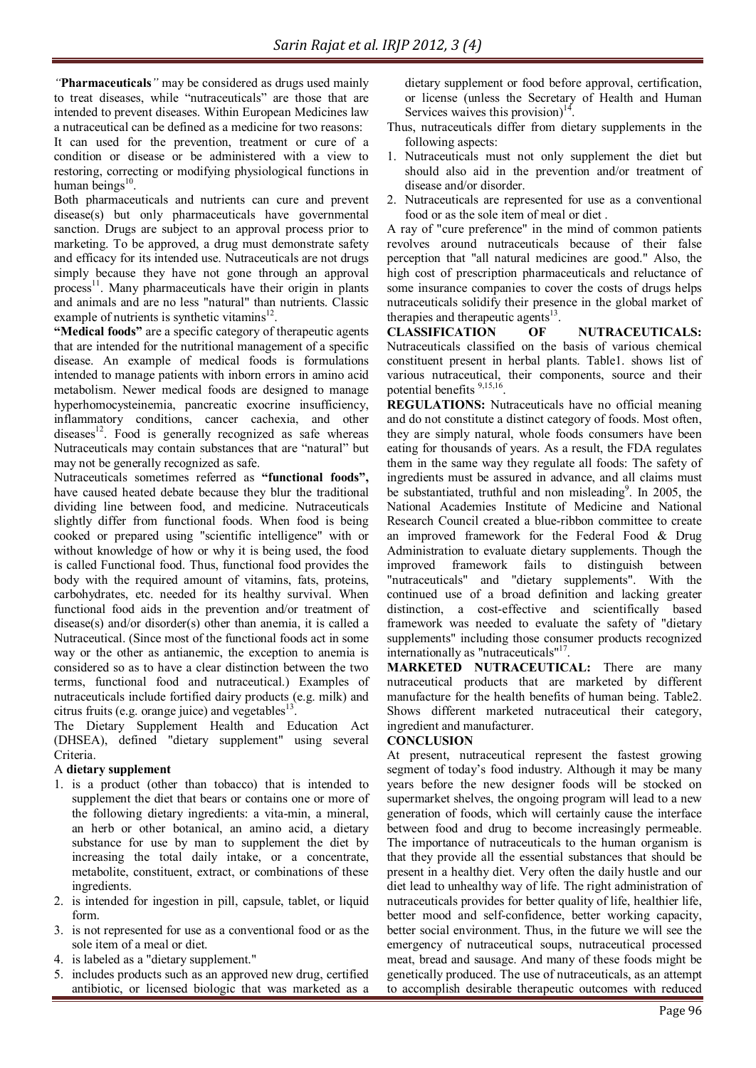*"***Pharmaceuticals***"* may be considered as drugs used mainly to treat diseases, while "nutraceuticals" are those that are intended to prevent diseases. Within European Medicines law a nutraceutical can be defined as a medicine for two reasons:

It can used for the prevention, treatment or cure of a condition or disease or be administered with a view to restoring, correcting or modifying physiological functions in human beings $10$ .

Both pharmaceuticals and nutrients can cure and prevent disease(s) but only pharmaceuticals have governmental sanction. Drugs are subject to an approval process prior to marketing. To be approved, a drug must demonstrate safety and efficacy for its intended use. Nutraceuticals are not drugs simply because they have not gone through an approval process<sup>11</sup>. Many pharmaceuticals have their origin in plants and animals and are no less "natural" than nutrients. Classic example of nutrients is synthetic vitamins $^{12}$ .

**"Medical foods"** are a specific category of therapeutic agents that are intended for the nutritional management of a specific disease. An example of medical foods is formulations intended to manage patients with inborn errors in amino acid metabolism. Newer medical foods are designed to manage hyperhomocysteinemia, pancreatic exocrine insufficiency, inflammatory conditions, cancer cachexia, and other diseases $12$ . Food is generally recognized as safe whereas Nutraceuticals may contain substances that are "natural" but may not be generally recognized as safe.

Nutraceuticals sometimes referred as **"functional foods",** have caused heated debate because they blur the traditional dividing line between food, and medicine. Nutraceuticals slightly differ from functional foods. When food is being cooked or prepared using "scientific intelligence" with or without knowledge of how or why it is being used, the food is called Functional food. Thus, functional food provides the body with the required amount of vitamins, fats, proteins, carbohydrates, etc. needed for its healthy survival. When functional food aids in the prevention and/or treatment of disease(s) and/or disorder(s) other than anemia, it is called a Nutraceutical. (Since most of the functional foods act in some way or the other as antianemic, the exception to anemia is considered so as to have a clear distinction between the two terms, functional food and nutraceutical.) Examples of nutraceuticals include fortified dairy products (e.g. milk) and citrus fruits (e.g. orange juice) and vegetables $13$ .

The Dietary Supplement Health and Education Act (DHSEA), defined "dietary supplement" using several Criteria.

# A **dietary supplement**

- 1. is a product (other than tobacco) that is intended to supplement the diet that bears or contains one or more of the following dietary ingredients: a vita-min, a mineral, an herb or other botanical, an amino acid, a dietary substance for use by man to supplement the diet by increasing the total daily intake, or a concentrate, metabolite, constituent, extract, or combinations of these ingredients.
- 2. is intended for ingestion in pill, capsule, tablet, or liquid form.
- 3. is not represented for use as a conventional food or as the sole item of a meal or diet.
- 4. is labeled as a "dietary supplement."
- 5. includes products such as an approved new drug, certified antibiotic, or licensed biologic that was marketed as a

dietary supplement or food before approval, certification, or license (unless the Secretary of Health and Human Services waives this provision) $^{14}$ .

- Thus, nutraceuticals differ from dietary supplements in the following aspects:
- 1. Nutraceuticals must not only supplement the diet but should also aid in the prevention and/or treatment of disease and/or disorder.
- 2. Nutraceuticals are represented for use as a conventional food or as the sole item of meal or diet .

A ray of "cure preference" in the mind of common patients revolves around nutraceuticals because of their false perception that "all natural medicines are good." Also, the high cost of prescription pharmaceuticals and reluctance of some insurance companies to cover the costs of drugs helps nutraceuticals solidify their presence in the global market of therapies and therapeutic agents $^{13}$ .

**CLASSIFICATION OF NUTRACEUTICALS:**  Nutraceuticals classified on the basis of various chemical constituent present in herbal plants. Table1. shows list of various nutraceutical, their components, source and their potential benefits <sup>9,15,16</sup>.

**REGULATIONS:** Nutraceuticals have no official meaning and do not constitute a distinct category of foods. Most often, they are simply natural, whole foods consumers have been eating for thousands of years. As a result, the FDA regulates them in the same way they regulate all foods: The safety of ingredients must be assured in advance, and all claims must be substantiated, truthful and non misleading<sup>9</sup>. In 2005, the National Academies Institute of Medicine and National Research Council created a blue-ribbon committee to create an improved framework for the Federal Food & Drug Administration to evaluate dietary supplements. Though the improved framework fails to distinguish between "nutraceuticals" and "dietary supplements". With the continued use of a broad definition and lacking greater distinction, a cost-effective and scientifically based framework was needed to evaluate the safety of "dietary supplements" including those consumer products recognized internationally as "nutraceuticals"<sup>17</sup>.

**MARKETED NUTRACEUTICAL:** There are many nutraceutical products that are marketed by different manufacture for the health benefits of human being. Table2. Shows different marketed nutraceutical their category, ingredient and manufacturer.

## **CONCLUSION**

At present, nutraceutical represent the fastest growing segment of today's food industry. Although it may be many years before the new designer foods will be stocked on supermarket shelves, the ongoing program will lead to a new generation of foods, which will certainly cause the interface between food and drug to become increasingly permeable. The importance of nutraceuticals to the human organism is that they provide all the essential substances that should be present in a healthy diet. Very often the daily hustle and our diet lead to unhealthy way of life. The right administration of nutraceuticals provides for better quality of life, healthier life, better mood and self-confidence, better working capacity, better social environment. Thus, in the future we will see the emergency of nutraceutical soups, nutraceutical processed meat, bread and sausage. And many of these foods might be genetically produced. The use of nutraceuticals, as an attempt to accomplish desirable therapeutic outcomes with reduced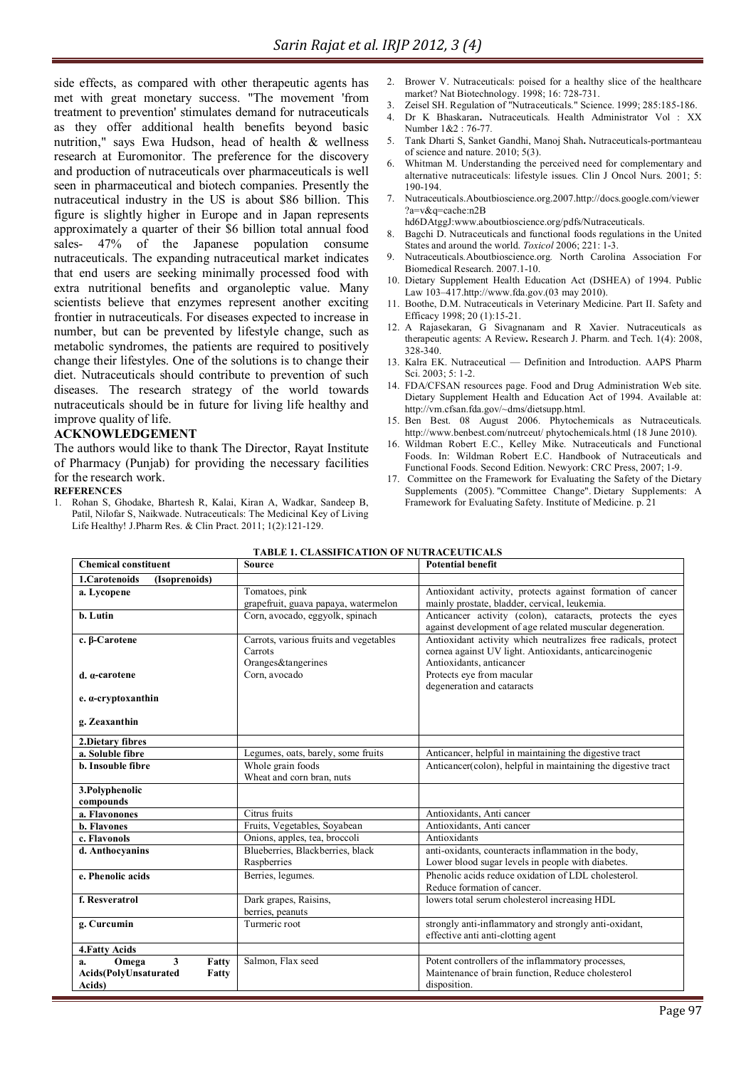side effects, as compared with other therapeutic agents has met with great monetary success. "The movement 'from treatment to prevention' stimulates demand for nutraceuticals as they offer additional health benefits beyond basic nutrition," says Ewa Hudson, head of health & wellness research at Euromonitor. The preference for the discovery and production of nutraceuticals over pharmaceuticals is well seen in pharmaceutical and biotech companies. Presently the nutraceutical industry in the US is about \$86 billion. This figure is slightly higher in Europe and in Japan represents approximately a quarter of their \$6 billion total annual food sales- 47% of the Japanese population consume nutraceuticals. The expanding nutraceutical market indicates that end users are seeking minimally processed food with extra nutritional benefits and organoleptic value. Many scientists believe that enzymes represent another exciting frontier in nutraceuticals. For diseases expected to increase in number, but can be prevented by lifestyle change, such as metabolic syndromes, the patients are required to positively change their lifestyles. One of the solutions is to change their diet. Nutraceuticals should contribute to prevention of such diseases. The research strategy of the world towards nutraceuticals should be in future for living life healthy and improve quality of life.

# **ACKNOWLEDGEMENT**

The authors would like to thank The Director, Rayat Institute of Pharmacy (Punjab) for providing the necessary facilities for the research work.

#### **REFERENCES**

1. Rohan S, Ghodake, Bhartesh R, Kalai, Kiran A, Wadkar, Sandeep B, Patil, Nilofar S, Naikwade. Nutraceuticals: The Medicinal Key of Living Life Healthy! J.Pharm Res. & Clin Pract. 2011; 1(2):121-129.

- 2. Brower V. Nutraceuticals: poised for a healthy slice of the healthcare market? Nat Biotechnology. 1998; 16: 728-731.
- 3. Zeisel SH. Regulation of "Nutraceuticals." Science. 1999; 285:185-186.
- 4. Dr K Bhaskaran**.** Nutraceuticals. Health Administrator Vol : XX Number 1&2 : 76-77*.*
- 5. Tank Dharti S, Sanket Gandhi, Manoj Shah**.** Nutraceuticals-portmanteau of science and nature. 2010; 5(3).
- 6. Whitman M. Understanding the perceived need for complementary and alternative nutraceuticals: lifestyle issues. Clin J Oncol Nurs. 2001; 5: 190-194.
- 7. Nutraceuticals.Aboutbioscience.org.2007.http://docs.google.com/viewer ?a=v&q=cache:n2B
- hd6DAtggJ:www.aboutbioscience.org/pdfs/Nutraceuticals.
- Bagchi D. Nutraceuticals and functional foods regulations in the United States and around the world. *Toxicol* 2006; 221: 1-3.
- 9. Nutraceuticals*.*Aboutbioscience.org*.* North Carolina Association For Biomedical Research. 2007.1-10.
- 10. Dietary Supplement Health Education Act (DSHEA) of 1994. Public Law 103–417.http://www.fda.gov.(03 may 2010).
- 11. Boothe, D.M. Nutraceuticals in Veterinary Medicine. Part II. Safety and Efficacy 1998; 20 (1):15-21.
- 12. A Rajasekaran, G Sivagnanam and R Xavier. Nutraceuticals as therapeutic agents: A Review**.** Research J. Pharm. and Tech. 1(4): 2008, 328-340.
- 13. Kalra EK. Nutraceutical Definition and Introduction. AAPS Pharm Sci. 2003; 5: 1-2.
- 14. FDA/CFSAN resources page. Food and Drug Administration Web site. Dietary Supplement Health and Education Act of 1994. Available at: http://vm.cfsan.fda.gov/~dms/dietsupp.html.
- 15. Ben Best. 08 August 2006. Phytochemicals as Nutraceuticals. http://www.benbest.com/nutrceut/ phytochemicals.html (18 June 2010).
- 16. Wildman Robert E.C., Kelley Mike. Nutraceuticals and Functional Foods. In: Wildman Robert E.C. Handbook of Nutraceuticals and Functional Foods. Second Edition. Newyork: CRC Press, 2007; 1-9.
- 17. Committee on the Framework for Evaluating the Safety of the Dietary Supplements (2005). "Committee Change". Dietary Supplements: A Framework for Evaluating Safety. Institute of Medicine. p. 21

| <b>Chemical constituent</b>                     | <b>Source</b>                                     | <b>Potential benefit</b>                                                                                                 |  |
|-------------------------------------------------|---------------------------------------------------|--------------------------------------------------------------------------------------------------------------------------|--|
| 1.Carotenoids<br>(Isoprenoids)                  |                                                   |                                                                                                                          |  |
| a. Lycopene                                     | Tomatoes, pink                                    | Antioxidant activity, protects against formation of cancer                                                               |  |
|                                                 | grapefruit, guava papaya, watermelon              | mainly prostate, bladder, cervical, leukemia.                                                                            |  |
| b. Lutin                                        | Corn, avocado, eggyolk, spinach                   | Anticancer activity (colon), cataracts, protects the eyes<br>against development of age related muscular degeneration.   |  |
| c. β-Carotene                                   | Carrots, various fruits and vegetables<br>Carrots | Antioxidant activity which neutralizes free radicals, protect<br>cornea against UV light. Antioxidants, anticarcinogenic |  |
|                                                 | Oranges&tangerines                                | Antioxidants, anticancer                                                                                                 |  |
| d. a-carotene                                   | Corn, avocado                                     | Protects eye from macular                                                                                                |  |
|                                                 |                                                   | degeneration and cataracts                                                                                               |  |
| $e. \alpha$ -cryptoxanthin                      |                                                   |                                                                                                                          |  |
| g. Zeaxanthin                                   |                                                   |                                                                                                                          |  |
| 2. Dietary fibres                               |                                                   |                                                                                                                          |  |
| a. Soluble fibre                                | Legumes, oats, barely, some fruits                | Anticancer, helpful in maintaining the digestive tract                                                                   |  |
| <b>b.</b> Insouble fibre                        | Whole grain foods                                 | Anticancer(colon), helpful in maintaining the digestive tract                                                            |  |
|                                                 | Wheat and corn bran, nuts                         |                                                                                                                          |  |
| 3. Polyphenolic                                 |                                                   |                                                                                                                          |  |
| compounds                                       |                                                   |                                                                                                                          |  |
| a. Flavonones                                   | Citrus fruits                                     | Antioxidants, Anti cancer                                                                                                |  |
| <b>b.</b> Flavones                              | Fruits, Vegetables, Soyabean                      | Antioxidants, Anti cancer                                                                                                |  |
| c. Flavonols                                    | Onions, apples, tea, broccoli                     | Antioxidants                                                                                                             |  |
| d. Anthocyanins                                 | Blueberries, Blackberries, black<br>Raspberries   | anti-oxidants, counteracts inflammation in the body,<br>Lower blood sugar levels in people with diabetes.                |  |
| e. Phenolic acids                               | Berries, legumes.                                 | Phenolic acids reduce oxidation of LDL cholesterol.<br>Reduce formation of cancer.                                       |  |
| f. Resveratrol                                  | Dark grapes, Raisins,                             | lowers total serum cholesterol increasing HDL                                                                            |  |
|                                                 | berries, peanuts                                  |                                                                                                                          |  |
| g. Curcumin                                     | Turmeric root                                     | strongly anti-inflammatory and strongly anti-oxidant,<br>effective anti anti-clotting agent                              |  |
| 4. Fatty Acids                                  |                                                   |                                                                                                                          |  |
| $\overline{\mathbf{3}}$<br>Fatty<br>Omega<br>a. | Salmon, Flax seed                                 | Potent controllers of the inflammatory processes,                                                                        |  |
| Acids(PolyUnsaturated<br>Fatty                  |                                                   | Maintenance of brain function, Reduce cholesterol                                                                        |  |
| Acids)                                          |                                                   | disposition.                                                                                                             |  |

#### **TABLE 1. CLASSIFICATION OF NUTRACEUTICALS**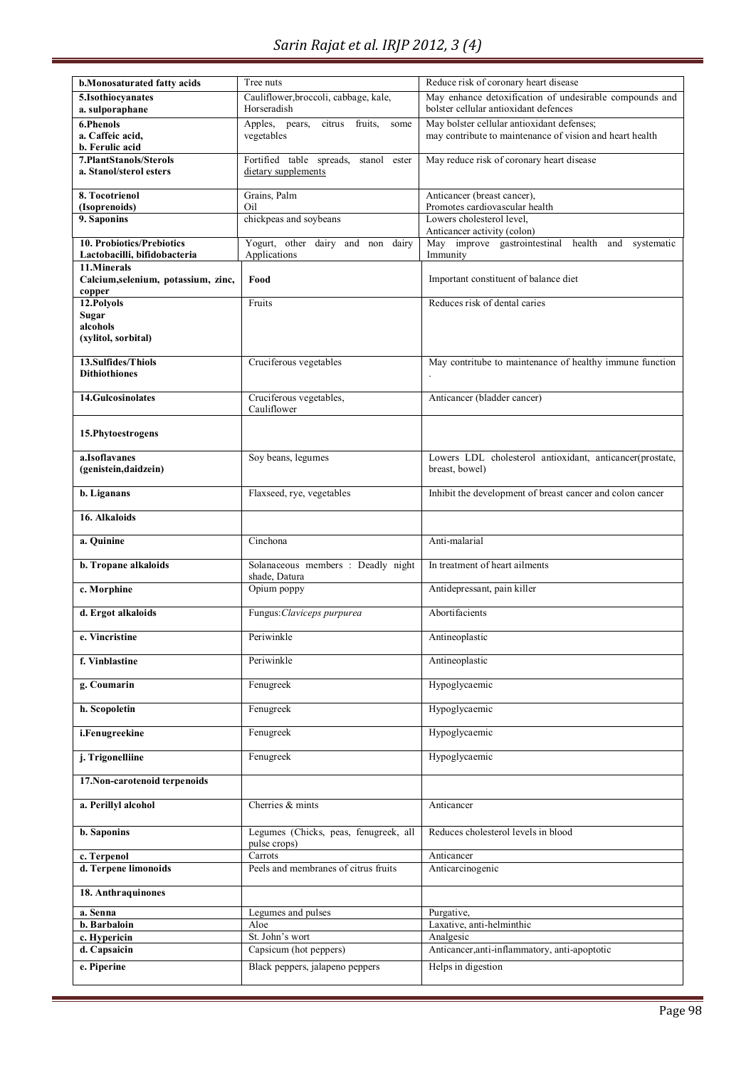| b.Monosaturated fatty acids                       | Tree nuts                                                          | Reduce risk of coronary heart disease                         |  |
|---------------------------------------------------|--------------------------------------------------------------------|---------------------------------------------------------------|--|
| 5.Isothiocyanates                                 | Cauliflower, broccoli, cabbage, kale,                              | May enhance detoxification of undesirable compounds and       |  |
| a. sulporaphane                                   | Horseradish                                                        | bolster cellular antioxidant defences                         |  |
|                                                   |                                                                    |                                                               |  |
| 6.Phenols                                         | Apples, pears,<br>fruits.<br>citrus<br>some                        | May bolster cellular antioxidant defenses;                    |  |
| a. Caffeic acid,                                  | vegetables                                                         | may contribute to maintenance of vision and heart health      |  |
| b. Ferulic acid                                   |                                                                    |                                                               |  |
| 7.PlantStanols/Sterols<br>a. Stanol/sterol esters | Fortified table spreads,<br>stanol<br>ester<br>dietary supplements | May reduce risk of coronary heart disease                     |  |
| 8. Tocotrienol                                    | Grains, Palm                                                       |                                                               |  |
| (Isoprenoids)                                     | Oil                                                                | Anticancer (breast cancer),<br>Promotes cardiovascular health |  |
| 9. Saponins                                       | chickpeas and soybeans                                             | Lowers cholesterol level.                                     |  |
|                                                   |                                                                    | Anticancer activity (colon)                                   |  |
| 10. Probiotics/Prebiotics                         | Yogurt, other dairy and non dairy                                  | May improve gastrointestinal health and<br>systematic         |  |
| Lactobacilli, bifidobacteria                      | Applications                                                       | Immunity                                                      |  |
| 11.Minerals                                       |                                                                    |                                                               |  |
| Calcium, selenium, potassium, zinc,               | Food                                                               | Important constituent of balance diet                         |  |
| copper                                            |                                                                    |                                                               |  |
| 12. Polyols                                       | Fruits                                                             | Reduces risk of dental caries                                 |  |
| <b>Sugar</b>                                      |                                                                    |                                                               |  |
| alcohols                                          |                                                                    |                                                               |  |
| (xylitol, sorbital)                               |                                                                    |                                                               |  |
|                                                   |                                                                    |                                                               |  |
| 13.Sulfides/Thiols                                | Cruciferous vegetables                                             | May contritube to maintenance of healthy immune function      |  |
| <b>Dithiothiones</b>                              |                                                                    |                                                               |  |
|                                                   |                                                                    |                                                               |  |
| <b>14.Gulcosinolates</b>                          | Cruciferous vegetables,                                            | Anticancer (bladder cancer)                                   |  |
|                                                   | Cauliflower                                                        |                                                               |  |
| 15. Phytoestrogens                                |                                                                    |                                                               |  |
|                                                   |                                                                    |                                                               |  |
| a.Isoflavanes                                     | Soy beans, legumes                                                 | Lowers LDL cholesterol antioxidant, anticancer(prostate,      |  |
| (genistein, daidzein)                             |                                                                    | breast, bowel)                                                |  |
|                                                   |                                                                    |                                                               |  |
| b. Liganans                                       | Flaxseed, rye, vegetables                                          | Inhibit the development of breast cancer and colon cancer     |  |
| 16. Alkaloids                                     |                                                                    |                                                               |  |
|                                                   |                                                                    |                                                               |  |
| a. Quinine                                        | Cinchona                                                           | Anti-malarial                                                 |  |
|                                                   |                                                                    |                                                               |  |
| b. Tropane alkaloids                              | Solanaceous members : Deadly night                                 | In treatment of heart ailments                                |  |
|                                                   | shade, Datura                                                      |                                                               |  |
| c. Morphine                                       | Opium poppy                                                        | Antidepressant, pain killer                                   |  |
| d. Ergot alkaloids                                | Fungus: Claviceps purpurea                                         | Abortifacients                                                |  |
|                                                   |                                                                    |                                                               |  |
| e. Vincristine                                    | Periwinkle                                                         | Antineoplastic                                                |  |
|                                                   |                                                                    |                                                               |  |
| f. Vinblastine                                    | Periwinkle                                                         | Antineoplastic                                                |  |
|                                                   |                                                                    |                                                               |  |
| g. Coumarin                                       | Fenugreek                                                          | Hypoglycaemic                                                 |  |
|                                                   |                                                                    |                                                               |  |
| h. Scopoletin                                     | Fenugreek                                                          | Hypoglycaemic                                                 |  |
| i.Fenugreekine                                    | Fenugreek                                                          | Hypoglycaemic                                                 |  |
|                                                   |                                                                    |                                                               |  |
| j. Trigonelliine                                  | Fenugreek                                                          | Hypoglycaemic                                                 |  |
|                                                   |                                                                    |                                                               |  |
| 17. Non-carotenoid terpenoids                     |                                                                    |                                                               |  |
|                                                   |                                                                    |                                                               |  |
| a. Perillyl alcohol                               | Cherries & mints                                                   | Anticancer                                                    |  |
|                                                   |                                                                    |                                                               |  |
| <b>b.</b> Saponins                                | Legumes (Chicks, peas, fenugreek, all                              | Reduces cholesterol levels in blood                           |  |
|                                                   | pulse crops)                                                       |                                                               |  |
| c. Terpenol                                       | Carrots                                                            | Anticancer                                                    |  |
| d. Terpene limonoids                              | Peels and membranes of citrus fruits                               | Anticarcinogenic                                              |  |
|                                                   |                                                                    |                                                               |  |
| 18. Anthraquinones                                |                                                                    |                                                               |  |
| a. Senna                                          | Legumes and pulses                                                 | Purgative,                                                    |  |
| b. Barbaloin                                      | Aloe                                                               | Laxative, anti-helminthic                                     |  |
| c. Hypericin                                      | St. John's wort                                                    | Analgesic                                                     |  |
| d. Capsaicin                                      | Capsicum (hot peppers)                                             | Anticancer, anti-inflammatory, anti-apoptotic                 |  |
|                                                   | Black peppers, jalapeno peppers                                    |                                                               |  |
| e. Piperine                                       |                                                                    | Helps in digestion                                            |  |